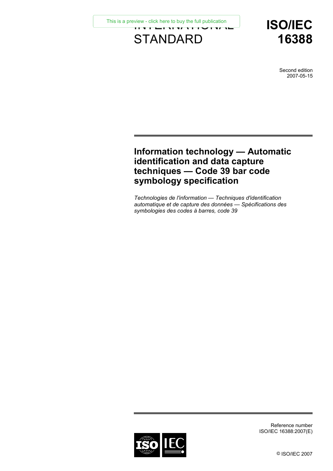[This is a preview - click here to buy the full publication](https://webstore.iec.ch/publication/10492&preview=1)<br>  $\begin{array}{ccc}\n\bullet & \bullet & \bullet & \bullet & \bullet & \bullet & \bullet & \bullet & \bullet & \bullet\end{array}$ 

# **STANDARD**

**ISO/IEC 16388**

> Second edition 2007-05-15

# **Information technology — Automatic identification and data capture techniques — Code 39 bar code symbology specification**

*Technologies de l'information — Techniques d'identification automatique et de capture des données — Spécifications des symbologies des codes à barres, code 39* 



Reference number ISO/IEC 16388:2007(E)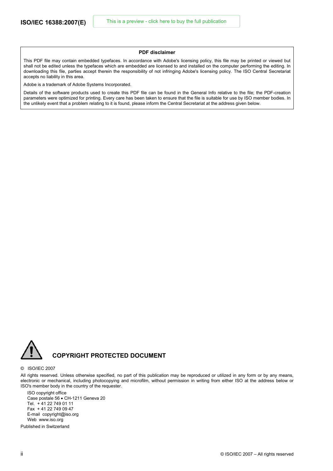#### **PDF disclaimer**

This PDF file may contain embedded typefaces. In accordance with Adobe's licensing policy, this file may be printed or viewed but shall not be edited unless the typefaces which are embedded are licensed to and installed on the computer performing the editing. In downloading this file, parties accept therein the responsibility of not infringing Adobe's licensing policy. The ISO Central Secretariat accepts no liability in this area.

Adobe is a trademark of Adobe Systems Incorporated.

Details of the software products used to create this PDF file can be found in the General Info relative to the file; the PDF-creation parameters were optimized for printing. Every care has been taken to ensure that the file is suitable for use by ISO member bodies. In the unlikely event that a problem relating to it is found, please inform the Central Secretariat at the address given below.



#### © ISO/IEC 2007

All rights reserved. Unless otherwise specified, no part of this publication may be reproduced or utilized in any form or by any means, electronic or mechanical, including photocopying and microfilm, without permission in writing from either ISO at the address below or ISO's member body in the country of the requester.

ISO copyright office Case postale 56 • CH-1211 Geneva 20 Tel. + 41 22 749 01 11 Fax + 41 22 749 09 47 E-mail copyright@iso.org Web www.iso.org

Published in Switzerland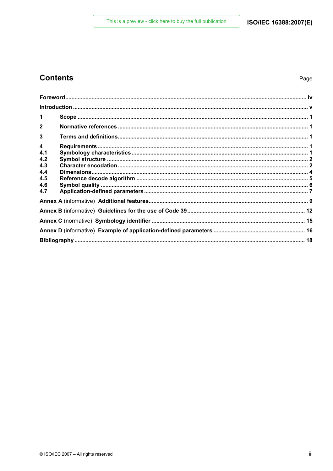## **Contents**

| 1            |  |
|--------------|--|
| $\mathbf{2}$ |  |
| 3            |  |
| 4            |  |
| 4.1          |  |
| 4.2          |  |
| 4.3          |  |
| 4.4          |  |
| 4.5          |  |
| 4.6          |  |
| 4.7          |  |
|              |  |
|              |  |
|              |  |
|              |  |
|              |  |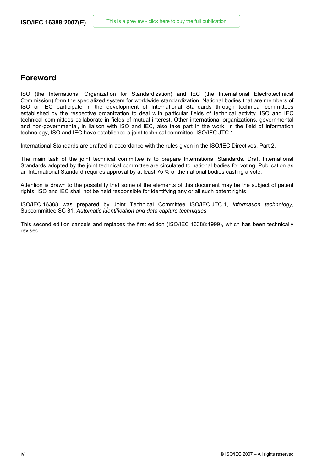## **Foreword**

ISO (the International Organization for Standardization) and IEC (the International Electrotechnical Commission) form the specialized system for worldwide standardization. National bodies that are members of ISO or IEC participate in the development of International Standards through technical committees established by the respective organization to deal with particular fields of technical activity. ISO and IEC technical committees collaborate in fields of mutual interest. Other international organizations, governmental and non-governmental, in liaison with ISO and IEC, also take part in the work. In the field of information technology, ISO and IEC have established a joint technical committee, ISO/IEC JTC 1.

International Standards are drafted in accordance with the rules given in the ISO/IEC Directives, Part 2.

The main task of the joint technical committee is to prepare International Standards. Draft International Standards adopted by the joint technical committee are circulated to national bodies for voting. Publication as an International Standard requires approval by at least 75 % of the national bodies casting a vote.

Attention is drawn to the possibility that some of the elements of this document may be the subject of patent rights. ISO and IEC shall not be held responsible for identifying any or all such patent rights.

ISO/IEC 16388 was prepared by Joint Technical Committee ISO/IEC JTC 1, *Information technology*, Subcommittee SC 31, *Automatic identification and data capture techniques*.

This second edition cancels and replaces the first edition (ISO/IEC 16388:1999), which has been technically revised.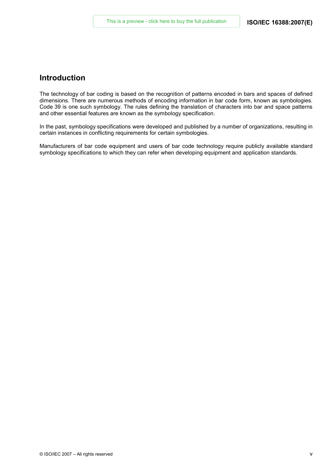## **Introduction**

The technology of bar coding is based on the recognition of patterns encoded in bars and spaces of defined dimensions. There are numerous methods of encoding information in bar code form, known as symbologies. Code 39 is one such symbology. The rules defining the translation of characters into bar and space patterns and other essential features are known as the symbology specification.

In the past, symbology specifications were developed and published by a number of organizations, resulting in certain instances in conflicting requirements for certain symbologies.

Manufacturers of bar code equipment and users of bar code technology require publicly available standard symbology specifications to which they can refer when developing equipment and application standards.